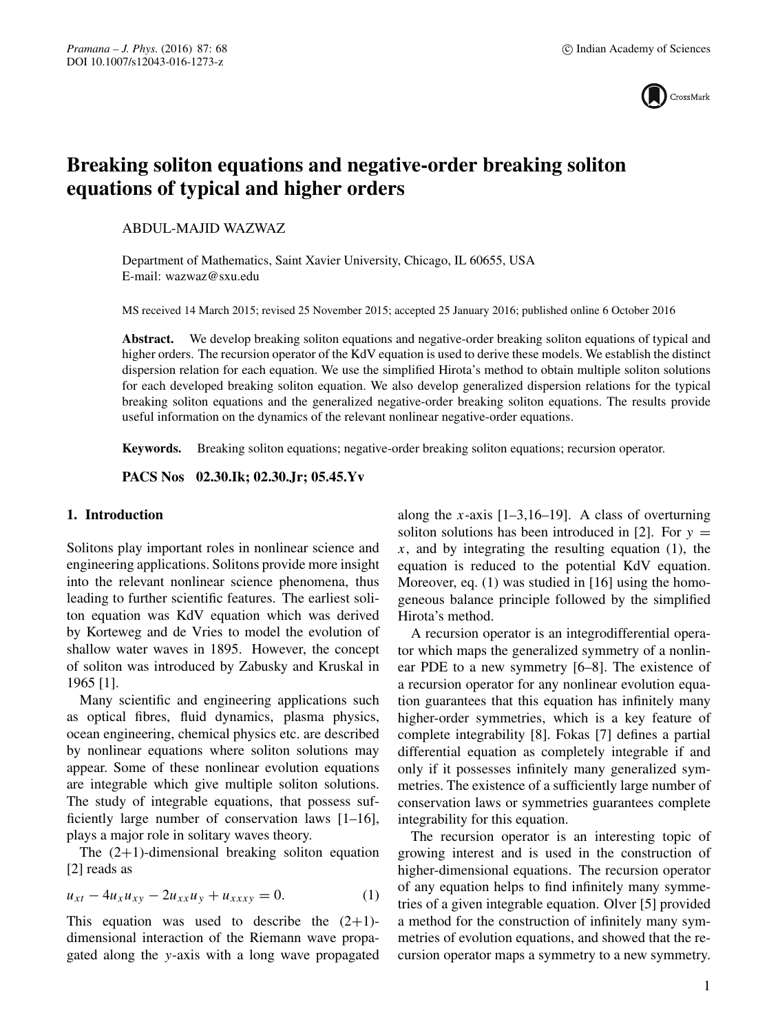

# **Breaking soliton equations and negative-order breaking soliton equations of typical and higher orders**

ABDUL-MAJID WAZWAZ

Department of Mathematics, Saint Xavier University, Chicago, IL 60655, USA E-mail: wazwaz@sxu.edu

MS received 14 March 2015; revised 25 November 2015; accepted 25 January 2016; published online 6 October 2016

**Abstract.** We develop breaking soliton equations and negative-order breaking soliton equations of typical and higher orders. The recursion operator of the KdV equation is used to derive these models. We establish the distinct dispersion relation for each equation. We use the simplified Hirota's method to obtain multiple soliton solutions for each developed breaking soliton equation. We also develop generalized dispersion relations for the typical breaking soliton equations and the generalized negative-order breaking soliton equations. The results provide useful information on the dynamics of the relevant nonlinear negative-order equations.

**Keywords.** Breaking soliton equations; negative-order breaking soliton equations; recursion operator.

**PACS Nos 02.30.Ik; 02.30.Jr; 05.45.Yv**

## **1. Introduction**

Solitons play important roles in nonlinear science and engineering applications. Solitons provide more insight into the relevant nonlinear science phenomena, thus leading to further scientific features. The earliest soliton equation was KdV equation which was derived by Korteweg and de Vries to model the evolution of shallow water waves in 1895. However, the concept of soliton was introduced by Zabusky and Kruskal in 1965 [1].

Many scientific and engineering applications such as optical fibres, fluid dynamics, plasma physics, ocean engineering, chemical physics etc. are described by nonlinear equations where soliton solutions may appear. Some of these nonlinear evolution equations are integrable which give multiple soliton solutions. The study of integrable equations, that possess sufficiently large number of conservation laws [1–16], plays a major role in solitary waves theory.

The  $(2+1)$ -dimensional breaking soliton equation [2] reads as

$$
u_{xt} - 4u_x u_{xy} - 2u_{xx} u_y + u_{xx} y = 0.
$$
 (1)

This equation was used to describe the  $(2+1)$ dimensional interaction of the Riemann wave propagated along the y-axis with a long wave propagated along the x-axis  $[1-3,16-19]$ . A class of overturning soliton solutions has been introduced in [2]. For  $y =$  $x$ , and by integrating the resulting equation (1), the equation is reduced to the potential KdV equation. Moreover, eq. (1) was studied in [16] using the homogeneous balance principle followed by the simplified Hirota's method.

A recursion operator is an integrodifferential operator which maps the generalized symmetry of a nonlinear PDE to a new symmetry [6–8]. The existence of a recursion operator for any nonlinear evolution equation guarantees that this equation has infinitely many higher-order symmetries, which is a key feature of complete integrability [8]. Fokas [7] defines a partial differential equation as completely integrable if and only if it possesses infinitely many generalized symmetries. The existence of a sufficiently large number of conservation laws or symmetries guarantees complete integrability for this equation.

The recursion operator is an interesting topic of growing interest and is used in the construction of higher-dimensional equations. The recursion operator of any equation helps to find infinitely many symmetries of a given integrable equation. Olver [5] provided a method for the construction of infinitely many symmetries of evolution equations, and showed that the recursion operator maps a symmetry to a new symmetry.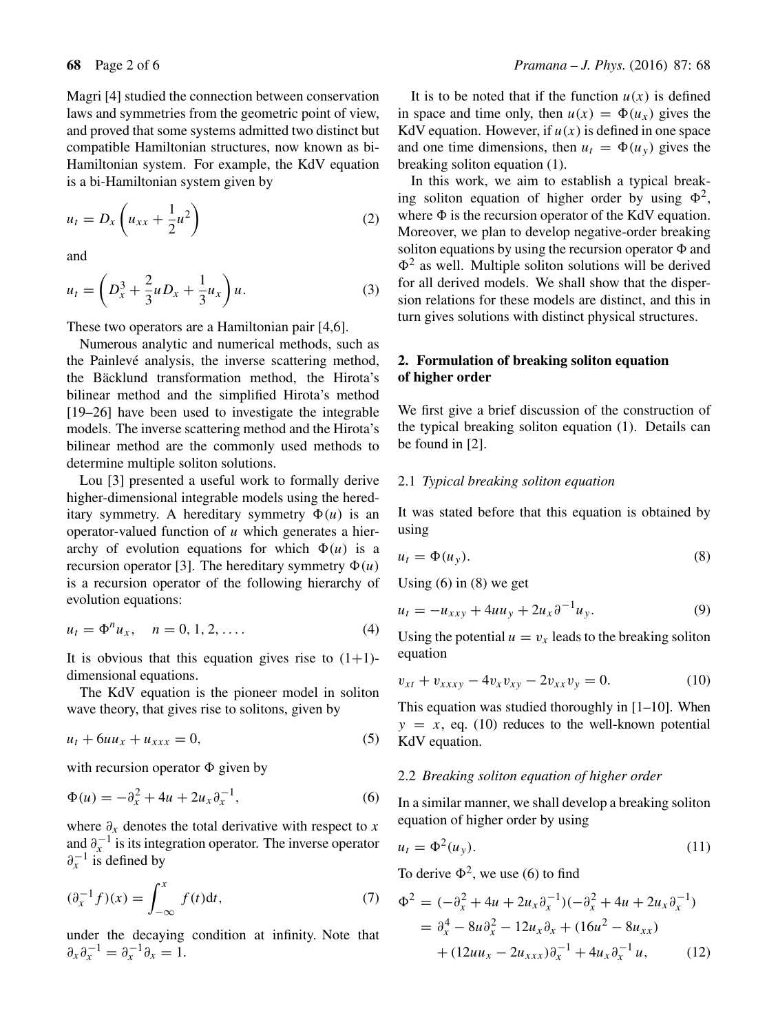Magri [4] studied the connection between conservation laws and symmetries from the geometric point of view, and proved that some systems admitted two distinct but compatible Hamiltonian structures, now known as bi-Hamiltonian system. For example, the KdV equation is a bi-Hamiltonian system given by

$$
u_t = D_x \left( u_{xx} + \frac{1}{2} u^2 \right) \tag{2}
$$

and

$$
u_t = \left( D_x^3 + \frac{2}{3} u D_x + \frac{1}{3} u_x \right) u.
$$
 (3)

These two operators are a Hamiltonian pair [4,6].

Numerous analytic and numerical methods, such as the Painlevé analysis, the inverse scattering method, the Bäcklund transformation method, the Hirota's bilinear method and the simplified Hirota's method [19–26] have been used to investigate the integrable models. The inverse scattering method and the Hirota's bilinear method are the commonly used methods to determine multiple soliton solutions.

Lou [3] presented a useful work to formally derive higher-dimensional integrable models using the hereditary symmetry. A hereditary symmetry  $\Phi(u)$  is an operator-valued function of  $u$  which generates a hierarchy of evolution equations for which  $\Phi(u)$  is a recursion operator [3]. The hereditary symmetry  $\Phi(u)$ is a recursion operator of the following hierarchy of evolution equations:

$$
u_t = \Phi^n u_x, \quad n = 0, 1, 2, \dots
$$
 (4)

It is obvious that this equation gives rise to  $(1+1)$ dimensional equations.

The KdV equation is the pioneer model in soliton wave theory, that gives rise to solitons, given by

$$
u_t + 6uu_x + u_{xxx} = 0, \tag{5}
$$

with recursion operator  $\Phi$  given by

$$
\Phi(u) = -\partial_x^2 + 4u + 2u_x \partial_x^{-1},\tag{6}
$$

where  $\partial_x$  denotes the total derivative with respect to x and  $\partial_{x}^{-1}$  is its integration operator. The inverse operator  $\partial_{x}^{-1}$  is defined by

$$
(\partial_x^{-1} f)(x) = \int_{-\infty}^x f(t) \mathrm{d}t,\tag{7}
$$

under the decaying condition at infinity. Note that  $\partial_x \partial_x^{-1} = \partial_x^{-1} \partial_x = 1.$ 

It is to be noted that if the function  $u(x)$  is defined in space and time only, then  $u(x) = \Phi(u_x)$  gives the KdV equation. However, if  $u(x)$  is defined in one space and one time dimensions, then  $u_t = \Phi(u_y)$  gives the breaking soliton equation (1).

In this work, we aim to establish a typical breaking soliton equation of higher order by using  $\Phi^2$ , where  $\Phi$  is the recursion operator of the KdV equation. Moreover, we plan to develop negative-order breaking soliton equations by using the recursion operator  $\Phi$  and  $\Phi^2$  as well. Multiple soliton solutions will be derived for all derived models. We shall show that the dispersion relations for these models are distinct, and this in turn gives solutions with distinct physical structures.

# **2. Formulation of breaking soliton equation of higher order**

We first give a brief discussion of the construction of the typical breaking soliton equation (1). Details can be found in [2].

## 2.1 *Typical breaking soliton equation*

It was stated before that this equation is obtained by using

$$
u_t = \Phi(u_y). \tag{8}
$$

Using  $(6)$  in  $(8)$  we get

$$
u_t = -u_{xxy} + 4uu_y + 2u_x\partial^{-1}u_y.
$$
 (9)

Using the potential  $u = v_x$  leads to the breaking soliton equation

$$
v_{xt} + v_{xxxy} - 4v_x v_{xy} - 2v_{xx} v_y = 0.
$$
 (10)

This equation was studied thoroughly in [1–10]. When  $y = x$ , eq. (10) reduces to the well-known potential KdV equation.

## 2.2 *Breaking soliton equation of higher order*

In a similar manner, we shall develop a breaking soliton equation of higher order by using

$$
u_t = \Phi^2(u_y). \tag{11}
$$

To derive  $\Phi^2$ , we use (6) to find

$$
\Phi^{2} = (-\partial_{x}^{2} + 4u + 2u_{x}\partial_{x}^{-1})(-\partial_{x}^{2} + 4u + 2u_{x}\partial_{x}^{-1})
$$
  
=  $\partial_{x}^{4} - 8u\partial_{x}^{2} - 12u_{x}\partial_{x} + (16u^{2} - 8u_{xx})$   
+  $(12uu_{x} - 2u_{xxx})\partial_{x}^{-1} + 4u_{x}\partial_{x}^{-1}u,$  (12)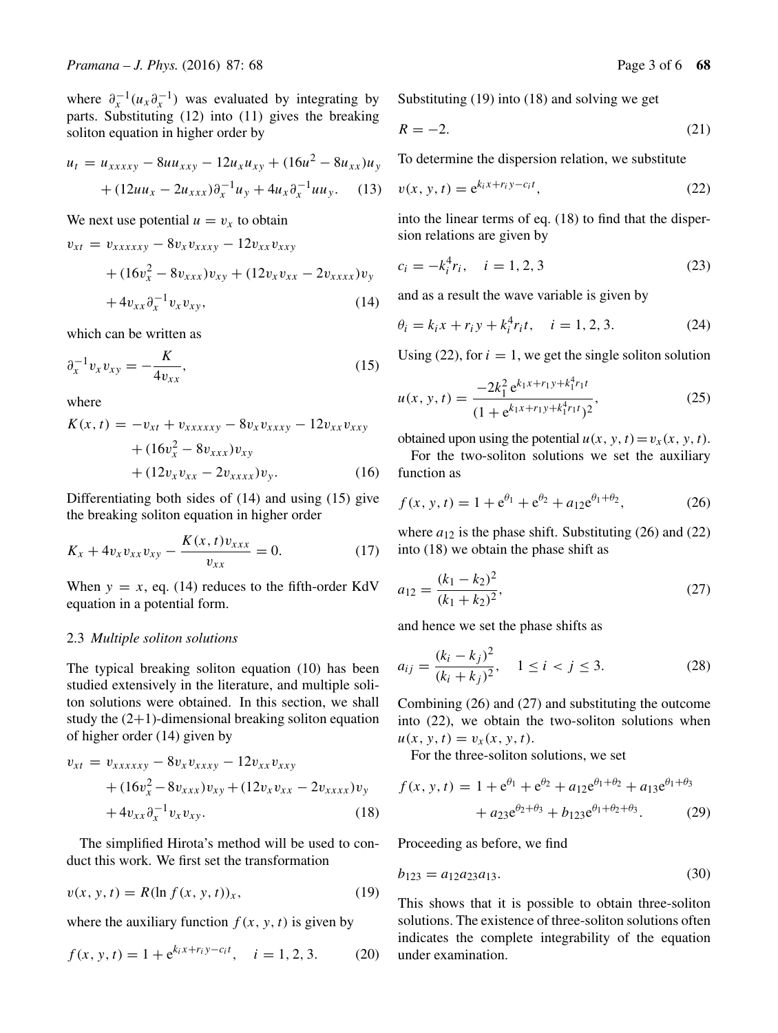where  $\partial_{r}^{-1}(u_{x}\partial_{r}^{-1})$  was evaluated by integrating by parts. Substituting (12) into (11) gives the breaking soliton equation in higher order by

$$
u_t = u_{xxxxy} - 8uu_{xxy} - 12u_xu_{xy} + (16u^2 - 8u_{xx})u_y
$$

$$
+ (12uu_x - 2u_{xxx})\partial_x^{-1}u_y + 4u_x\partial_x^{-1}uu_y. \quad (13)
$$

We next use potential  $u = v_x$  to obtain

$$
v_{xt} = v_{xxxxxy} - 8v_x v_{xxxy} - 12v_{xx} v_{xxy} + (16v_x^2 - 8v_{xxx})v_{xy} + (12v_x v_{xx} - 2v_{xxxx})v_y + 4v_{xx} \partial_x^{-1} v_x v_{xy},
$$
(14)

which can be written as

$$
\partial_x^{-1} v_x v_{xy} = -\frac{K}{4v_{xx}},
$$
\n(15)

where

$$
K(x, t) = -v_{xt} + v_{xxxxxy} - 8v_x v_{xxxy} - 12v_{xx} v_{xxy} + (16v_x^2 - 8v_{xxx})v_{xy} + (12v_x v_{xx} - 2v_{xxxx})v_y.
$$
 (16)

Differentiating both sides of (14) and using (15) give the breaking soliton equation in higher order

$$
K_x + 4v_x v_{xx} v_{xy} - \frac{K(x, t)v_{xxx}}{v_{xx}} = 0.
$$
 (17)

When  $y = x$ , eq. (14) reduces to the fifth-order KdV equation in a potential form.

#### 2.3 *Multiple soliton solutions*

The typical breaking soliton equation (10) has been studied extensively in the literature, and multiple soliton solutions were obtained. In this section, we shall study the  $(2+1)$ -dimensional breaking soliton equation of higher order (14) given by

$$
v_{xt} = v_{xxxxxy} - 8v_x v_{xxxy} - 12v_{xx} v_{xxy} + (16v_x^2 - 8v_{xxx})v_{xy} + (12v_x v_{xx} - 2v_{xxxx})v_y + 4v_{xx} \partial_x^{-1} v_x v_{xy}.
$$
 (18)

The simplified Hirota's method will be used to conduct this work. We first set the transformation

$$
v(x, y, t) = R(\ln f(x, y, t))_x, \tag{19}
$$

where the auxiliary function  $f(x, y, t)$  is given by

$$
f(x, y, t) = 1 + e^{k_i x + r_i y - c_i t}, \quad i = 1, 2, 3.
$$
 (20)

Substituting (19) into (18) and solving we get

$$
R = -2.\t(21)
$$

To determine the dispersion relation, we substitute

$$
v(x, y, t) = e^{k_i x + r_i y - c_i t},
$$
\n<sup>(22)</sup>

into the linear terms of eq. (18) to find that the dispersion relations are given by

$$
c_i = -k_i^4 r_i, \quad i = 1, 2, 3 \tag{23}
$$

and as a result the wave variable is given by

$$
\theta_i = k_i x + r_i y + k_i^4 r_i t, \quad i = 1, 2, 3.
$$
 (24)

Using (22), for  $i = 1$ , we get the single soliton solution

$$
u(x, y, t) = \frac{-2k_1^2 e^{k_1 x + r_1 y + k_1^4 r_1 t}}{(1 + e^{k_1 x + r_1 y + k_1^4 r_1 t})^2},
$$
\n(25)

obtained upon using the potential  $u(x, y, t) = v_x(x, y, t)$ .

For the two-soliton solutions we set the auxiliary function as

$$
f(x, y, t) = 1 + e^{\theta_1} + e^{\theta_2} + a_{12}e^{\theta_1 + \theta_2},
$$
 (26)

where  $a_{12}$  is the phase shift. Substituting (26) and (22) into (18) we obtain the phase shift as

$$
a_{12} = \frac{(k_1 - k_2)^2}{(k_1 + k_2)^2},\tag{27}
$$

and hence we set the phase shifts as

$$
a_{ij} = \frac{(k_i - k_j)^2}{(k_i + k_j)^2}, \quad 1 \le i < j \le 3. \tag{28}
$$

Combining (26) and (27) and substituting the outcome into (22), we obtain the two-soliton solutions when  $u(x, y, t) = v_x(x, y, t).$ 

For the three-soliton solutions, we set

$$
f(x, y, t) = 1 + e^{\theta_1} + e^{\theta_2} + a_{12}e^{\theta_1 + \theta_2} + a_{13}e^{\theta_1 + \theta_3} + a_{23}e^{\theta_2 + \theta_3} + b_{123}e^{\theta_1 + \theta_2 + \theta_3}.
$$
 (29)

Proceeding as before, we find

$$
b_{123} = a_{12}a_{23}a_{13}.\tag{30}
$$

This shows that it is possible to obtain three-soliton solutions. The existence of three-soliton solutions often indicates the complete integrability of the equation under examination.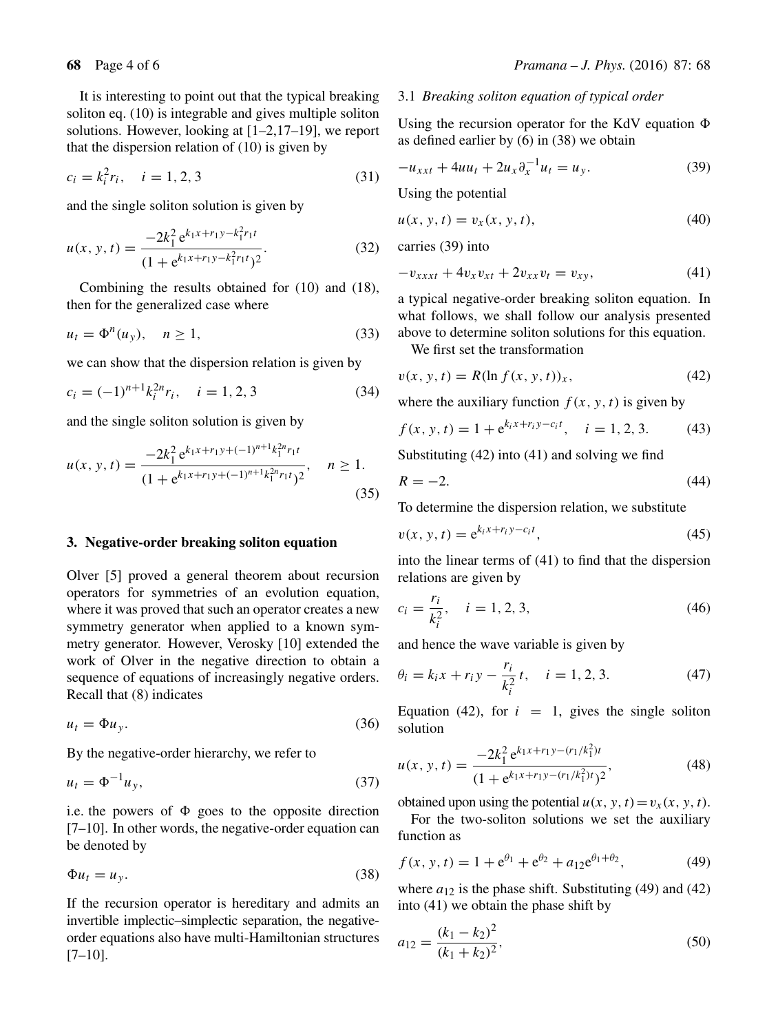It is interesting to point out that the typical breaking soliton eq. (10) is integrable and gives multiple soliton solutions. However, looking at [1–2,17–19], we report that the dispersion relation of (10) is given by

$$
c_i = k_i^2 r_i, \quad i = 1, 2, 3 \tag{31}
$$

and the single soliton solution is given by

$$
u(x, y, t) = \frac{-2k_1^2 e^{k_1 x + r_1 y - k_1^2 r_1 t}}{(1 + e^{k_1 x + r_1 y - k_1^2 r_1 t})^2}.
$$
 (32)

Combining the results obtained for (10) and (18), then for the generalized case where

$$
u_t = \Phi^n(u_y), \quad n \ge 1,
$$
\n(33)

we can show that the dispersion relation is given by

$$
c_i = (-1)^{n+1} k_i^{2n} r_i, \quad i = 1, 2, 3 \tag{34}
$$

and the single soliton solution is given by

$$
u(x, y, t) = \frac{-2k_1^2 e^{k_1 x + r_1 y + (-1)^{n+1} k_1^{2n} r_1 t}}{(1 + e^{k_1 x + r_1 y + (-1)^{n+1} k_1^{2n} r_1 t})^2}, \quad n \ge 1.
$$
\n(35)

## **3. Negative-order breaking soliton equation**

Olver [5] proved a general theorem about recursion operators for symmetries of an evolution equation, where it was proved that such an operator creates a new symmetry generator when applied to a known symmetry generator. However, Verosky [10] extended the work of Olver in the negative direction to obtain a sequence of equations of increasingly negative orders. Recall that (8) indicates

$$
u_t = \Phi u_y. \tag{36}
$$

By the negative-order hierarchy, we refer to

$$
u_t = \Phi^{-1} u_y,\tag{37}
$$

i.e. the powers of  $\Phi$  goes to the opposite direction [7–10]. In other words, the negative-order equation can be denoted by

$$
\Phi u_t = u_y. \tag{38}
$$

If the recursion operator is hereditary and admits an invertible implectic–simplectic separation, the negativeorder equations also have multi-Hamiltonian structures [7–10].

# **68** Page 4 of 6 *Pramana – J. Phys.* (2016) 87: 68

#### 3.1 *Breaking soliton equation of typical order*

Using the recursion operator for the KdV equation  $\Phi$ as defined earlier by (6) in (38) we obtain

$$
-u_{xxt} + 4uu_t + 2u_x \partial_x^{-1} u_t = u_y.
$$
 (39)

Using the potential

$$
u(x, y, t) = v_x(x, y, t),
$$
\n(40)

carries (39) into

$$
-v_{xxxxt} + 4v_x v_{xt} + 2v_{xx} v_t = v_{xy}, \t\t(41)
$$

a typical negative-order breaking soliton equation. In what follows, we shall follow our analysis presented above to determine soliton solutions for this equation.

We first set the transformation

$$
v(x, y, t) = R(\ln f(x, y, t))_x, \tag{42}
$$

where the auxiliary function  $f(x, y, t)$  is given by

$$
f(x, y, t) = 1 + e^{k_i x + r_i y - c_i t}, \quad i = 1, 2, 3.
$$
 (43)

Substituting (42) into (41) and solving we find

$$
R = -2.\t\t(44)
$$

To determine the dispersion relation, we substitute

$$
v(x, y, t) = e^{k_i x + r_i y - c_i t},
$$
\n
$$
(45)
$$

into the linear terms of (41) to find that the dispersion relations are given by

$$
c_i = \frac{r_i}{k_i^2}, \quad i = 1, 2, 3,
$$
\n<sup>(46)</sup>

and hence the wave variable is given by

$$
\theta_i = k_i x + r_i y - \frac{r_i}{k_i^2} t, \quad i = 1, 2, 3.
$$
 (47)

Equation (42), for  $i = 1$ , gives the single soliton solution

$$
u(x, y, t) = \frac{-2k_1^2 e^{k_1 x + r_1 y - (r_1/k_1^2)t}}{(1 + e^{k_1 x + r_1 y - (r_1/k_1^2)t})^2},
$$
(48)

obtained upon using the potential  $u(x, y, t) = v_x(x, y, t)$ .

For the two-soliton solutions we set the auxiliary function as

$$
f(x, y, t) = 1 + e^{\theta_1} + e^{\theta_2} + a_{12}e^{\theta_1 + \theta_2},
$$
 (49)

where  $a_{12}$  is the phase shift. Substituting (49) and (42) into (41) we obtain the phase shift by

$$
a_{12} = \frac{(k_1 - k_2)^2}{(k_1 + k_2)^2},\tag{50}
$$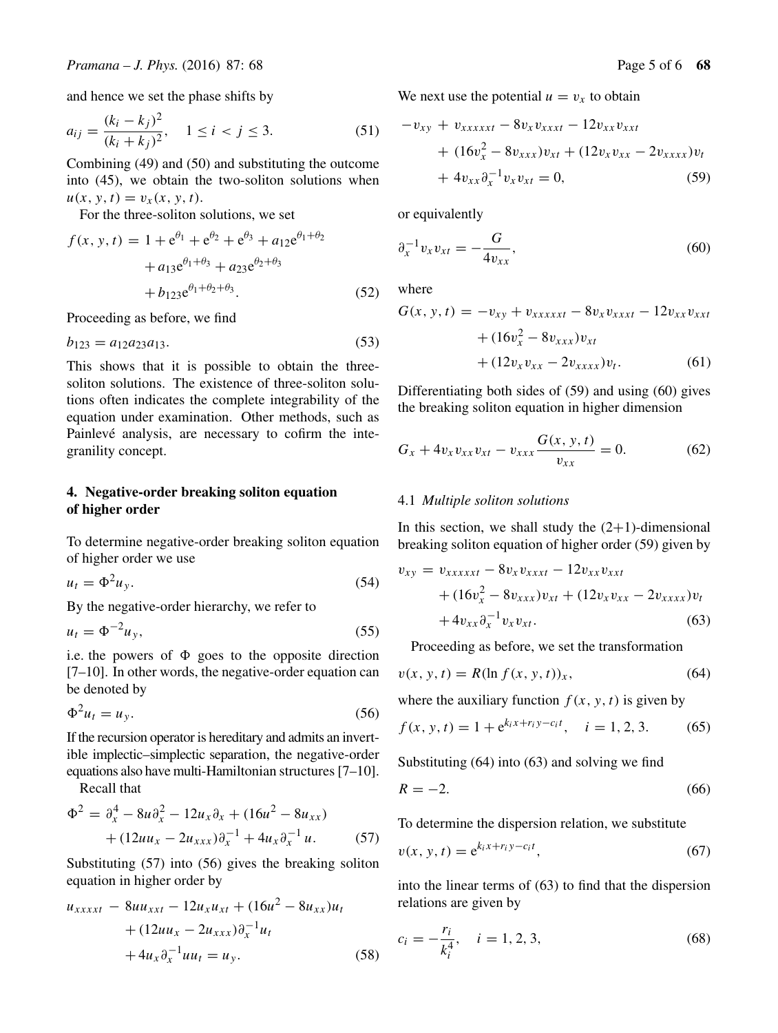and hence we set the phase shifts by

$$
a_{ij} = \frac{(k_i - k_j)^2}{(k_i + k_j)^2}, \quad 1 \le i < j \le 3. \tag{51}
$$

Combining (49) and (50) and substituting the outcome into (45), we obtain the two-soliton solutions when  $u(x, y, t) = v_x(x, y, t).$ 

For the three-soliton solutions, we set

$$
f(x, y, t) = 1 + e^{\theta_1} + e^{\theta_2} + e^{\theta_3} + a_{12}e^{\theta_1 + \theta_2} + a_{13}e^{\theta_1 + \theta_3} + a_{23}e^{\theta_2 + \theta_3} + b_{123}e^{\theta_1 + \theta_2 + \theta_3}.
$$
 (52)

Proceeding as before, we find

$$
b_{123} = a_{12}a_{23}a_{13}.\tag{53}
$$

This shows that it is possible to obtain the threesoliton solutions. The existence of three-soliton solutions often indicates the complete integrability of the equation under examination. Other methods, such as Painlevé analysis, are necessary to cofirm the integranility concept.

# **4. Negative-order breaking soliton equation of higher order**

To determine negative-order breaking soliton equation of higher order we use

$$
u_t = \Phi^2 u_y. \tag{54}
$$

By the negative-order hierarchy, we refer to

$$
u_t = \Phi^{-2} u_y,\tag{55}
$$

i.e. the powers of  $\Phi$  goes to the opposite direction [7–10]. In other words, the negative-order equation can be denoted by

$$
\Phi^2 u_t = u_y. \tag{56}
$$

If the recursion operator is hereditary and admits an invertible implectic–simplectic separation, the negative-order equations also have multi-Hamiltonian structures [7–10].

Recall that

$$
\Phi^{2} = \partial_{x}^{4} - 8u \partial_{x}^{2} - 12u_{x} \partial_{x} + (16u^{2} - 8u_{xx})
$$

$$
+ (12uu_{x} - 2u_{xxx}) \partial_{x}^{-1} + 4u_{x} \partial_{x}^{-1} u. \tag{57}
$$

Substituting (57) into (56) gives the breaking soliton equation in higher order by

$$
u_{xxxxt} - 8uu_{xxt} - 12u_xu_{xt} + (16u^2 - 8u_{xx})u_t
$$
  
+ 
$$
(12uu_x - 2u_{xxx})\partial_x^{-1}u_t
$$
  
+ 
$$
4u_x\partial_x^{-1}uu_t = u_y.
$$
 (58)

We next use the potential  $u = v_x$  to obtain

$$
-v_{xy} + v_{xxxxxt} - 8v_x v_{xxxxt} - 12v_{xx} v_{xxt} + (16v_x^2 - 8v_{xxx})v_{xt} + (12v_x v_{xx} - 2v_{xxxx})v_t + 4v_{xx} \partial_x^{-1} v_x v_{xt} = 0,
$$
 (59)

or equivalently

$$
\partial_x^{-1} v_x v_{xt} = -\frac{G}{4v_{xx}},\tag{60}
$$

where

$$
G(x, y, t) = -v_{xy} + v_{xxxxxt} - 8v_x v_{xxxxt} - 12v_{xx} v_{xxt}
$$

$$
+ (16v_x^2 - 8v_{xxx})v_{xt}
$$

$$
+ (12v_x v_{xx} - 2v_{xxxx})v_t.
$$
(61)

Differentiating both sides of (59) and using (60) gives the breaking soliton equation in higher dimension

$$
G_x + 4v_x v_{xx} v_{xt} - v_{xxx} \frac{G(x, y, t)}{v_{xx}} = 0.
$$
 (62)

#### 4.1 *Multiple soliton solutions*

In this section, we shall study the  $(2+1)$ -dimensional breaking soliton equation of higher order (59) given by

$$
v_{xy} = v_{xxxxxt} - 8v_x v_{xxxxt} - 12v_{xx} v_{xxt} + (16v_x^2 - 8v_{xxx})v_{xt} + (12v_x v_{xx} - 2v_{xxxx})v_t + 4v_{xx} \partial_x^{-1} v_x v_{xt}.
$$
 (63)

Proceeding as before, we set the transformation

$$
v(x, y, t) = R(\ln f(x, y, t))_x, \tag{64}
$$

where the auxiliary function  $f(x, y, t)$  is given by

$$
f(x, y, t) = 1 + e^{k_i x + r_i y - c_i t}, \quad i = 1, 2, 3.
$$
 (65)

Substituting (64) into (63) and solving we find

$$
R = -2.\t\t(66)
$$

To determine the dispersion relation, we substitute

$$
v(x, y, t) = e^{k_i x + r_i y - c_i t}, \qquad (67)
$$

into the linear terms of (63) to find that the dispersion relations are given by

$$
c_i = -\frac{r_i}{k_i^4}, \quad i = 1, 2, 3,
$$
\n(68)